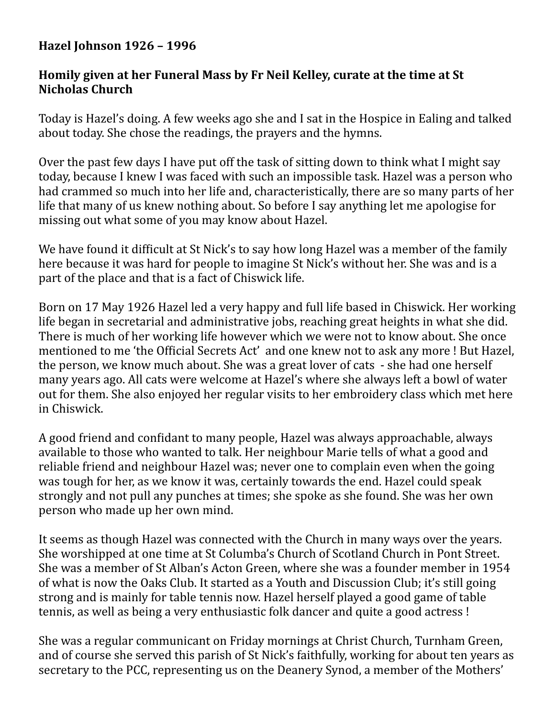## **Hazel Johnson 1926 - 1996**

## **Homily given at her Funeral Mass by Fr Neil Kelley, curate at the time at St Nicholas Church**

Today is Hazel's doing. A few weeks ago she and I sat in the Hospice in Ealing and talked about today. She chose the readings, the prayers and the hymns.

Over the past few days I have put off the task of sitting down to think what I might say today, because I knew I was faced with such an impossible task. Hazel was a person who had crammed so much into her life and, characteristically, there are so many parts of her life that many of us knew nothing about. So before I say anything let me apologise for missing out what some of you may know about Hazel.

We have found it difficult at St Nick's to say how long Hazel was a member of the family here because it was hard for people to imagine St Nick's without her. She was and is a part of the place and that is a fact of Chiswick life.

Born on 17 May 1926 Hazel led a very happy and full life based in Chiswick. Her working life began in secretarial and administrative jobs, reaching great heights in what she did. There is much of her working life however which we were not to know about. She once mentioned to me 'the Official Secrets Act' and one knew not to ask any more ! But Hazel, the person, we know much about. She was a great lover of cats - she had one herself many vears ago. All cats were welcome at Hazel's where she always left a bowl of water out for them. She also enjoyed her regular visits to her embroidery class which met here in Chiswick.

A good friend and confidant to many people, Hazel was always approachable, always available to those who wanted to talk. Her neighbour Marie tells of what a good and reliable friend and neighbour Hazel was; never one to complain even when the going was tough for her, as we know it was, certainly towards the end. Hazel could speak strongly and not pull any punches at times; she spoke as she found. She was her own person who made up her own mind.

It seems as though Hazel was connected with the Church in many ways over the years. She worshipped at one time at St Columba's Church of Scotland Church in Pont Street. She was a member of St Alban's Acton Green, where she was a founder member in 1954 of what is now the Oaks Club. It started as a Youth and Discussion Club; it's still going strong and is mainly for table tennis now. Hazel herself played a good game of table tennis, as well as being a very enthusiastic folk dancer and quite a good actress!

She was a regular communicant on Friday mornings at Christ Church, Turnham Green, and of course she served this parish of St Nick's faithfully, working for about ten years as secretary to the PCC, representing us on the Deanery Synod, a member of the Mothers'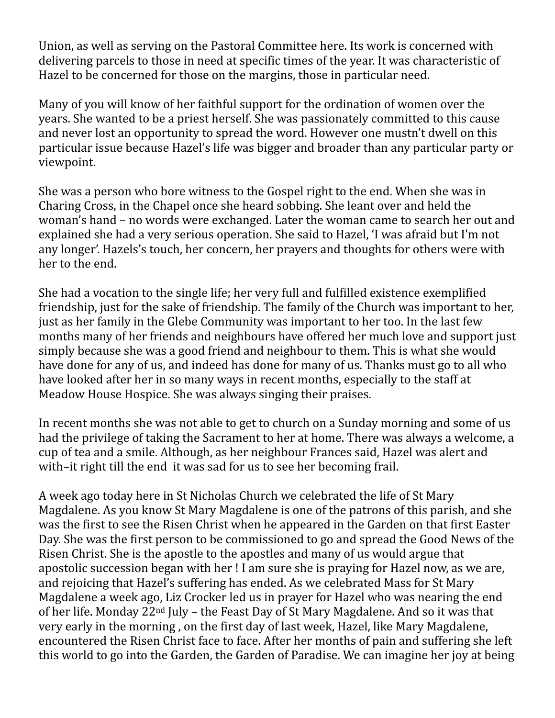Union, as well as serving on the Pastoral Committee here. Its work is concerned with delivering parcels to those in need at specific times of the year. It was characteristic of Hazel to be concerned for those on the margins, those in particular need.

Many of you will know of her faithful support for the ordination of women over the years. She wanted to be a priest herself. She was passionately committed to this cause and never lost an opportunity to spread the word. However one mustn't dwell on this particular issue because Hazel's life was bigger and broader than any particular party or viewpoint.

She was a person who bore witness to the Gospel right to the end. When she was in Charing Cross, in the Chapel once she heard sobbing. She leant over and held the woman's hand – no words were exchanged. Later the woman came to search her out and explained she had a very serious operation. She said to Hazel, 'I was afraid but I'm not any longer'. Hazels's touch, her concern, her prayers and thoughts for others were with her to the end.

She had a vocation to the single life; her very full and fulfilled existence exemplified friendship, just for the sake of friendship. The family of the Church was important to her, just as her family in the Glebe Community was important to her too. In the last few months many of her friends and neighbours have offered her much love and support just simply because she was a good friend and neighbour to them. This is what she would have done for any of us, and indeed has done for many of us. Thanks must go to all who have looked after her in so many ways in recent months, especially to the staff at Meadow House Hospice. She was always singing their praises.

In recent months she was not able to get to church on a Sunday morning and some of us had the privilege of taking the Sacrament to her at home. There was always a welcome, a cup of tea and a smile. Although, as her neighbour Frances said, Hazel was alert and with–it right till the end it was sad for us to see her becoming frail.

A week ago today here in St Nicholas Church we celebrated the life of St Mary Magdalene. As you know St Mary Magdalene is one of the patrons of this parish, and she was the first to see the Risen Christ when he appeared in the Garden on that first Easter Day. She was the first person to be commissioned to go and spread the Good News of the Risen Christ. She is the apostle to the apostles and many of us would argue that apostolic succession began with her ! I am sure she is praying for Hazel now, as we are, and rejoicing that Hazel's suffering has ended. As we celebrated Mass for St Mary Magdalene a week ago, Liz Crocker led us in prayer for Hazel who was nearing the end of her life. Monday  $22^{nd}$  July – the Feast Day of St Mary Magdalene. And so it was that very early in the morning, on the first day of last week, Hazel, like Mary Magdalene, encountered the Risen Christ face to face. After her months of pain and suffering she left this world to go into the Garden, the Garden of Paradise. We can imagine her joy at being